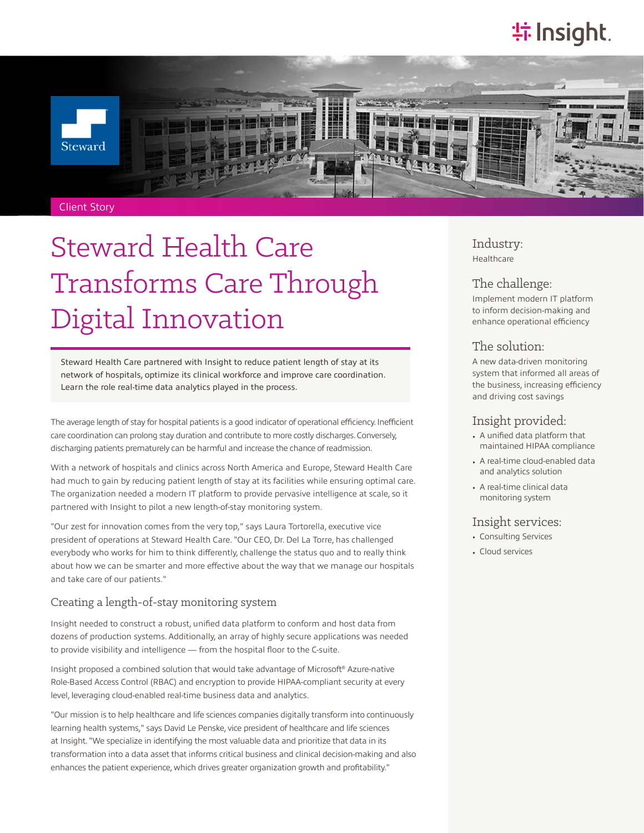## **特Insight**



# Steward Health Care Transforms Care Through Digital Innovation

Steward Health Care partnered with Insight to reduce patient length of stay at its network of hospitals, optimize its clinical workforce and improve care coordination. Learn the role real-time data analytics played in the process.

The average length of stay for hospital patients is a good indicator of operational efficiency. Inefficient care coordination can prolong stay duration and contribute to more costly discharges. Conversely, discharging patients prematurely can be harmful and increase the chance of readmission.

With a network of hospitals and clinics across North America and Europe, Steward Health Care had much to gain by reducing patient length of stay at its facilities while ensuring optimal care. The organization needed a modern IT platform to provide pervasive intelligence at scale, so it partnered with Insight to pilot a new length-of-stay monitoring system.

"Our zest for innovation comes from the very top," says Laura Tortorella, executive vice president of operations at Steward Health Care. "Our CEO, Dr. Del La Torre, has challenged everybody who works for him to think differently, challenge the status quo and to really think about how we can be smarter and more effective about the way that we manage our hospitals and take care of our patients."

#### Creating a length-of-stay monitoring system

Insight needed to construct a robust, unified data platform to conform and host data from dozens of production systems. Additionally, an array of highly secure applications was needed to provide visibility and intelligence — from the hospital floor to the C-suite.

Insight proposed a combined solution that would take advantage of Microsoft® Azure-native Role-Based Access Control (RBAC) and encryption to provide HIPAA-compliant security at every level, leveraging cloud-enabled real-time business data and analytics.

"Our mission is to help healthcare and life sciences companies digitally transform into continuously learning health systems," says David Le Penske, vice president of healthcare and life sciences at Insight. "We specialize in identifying the most valuable data and prioritize that data in its transformation into a data asset that informs critical business and clinical decision-making and also enhances the patient experience, which drives greater organization growth and profitability."

Industry: Healthcare

#### The challenge:

Implement modern IT platform to inform decision-making and enhance operational efficiency

#### The solution:

A new data-driven monitoring system that informed all areas of the business, increasing efficiency and driving cost savings

#### Insight provided:

- A unified data platform that maintained HIPAA compliance
- A real-time cloud-enabled data and analytics solution
- A real-time clinical data monitoring system

#### Insight services:

- Consulting Services
- Cloud services